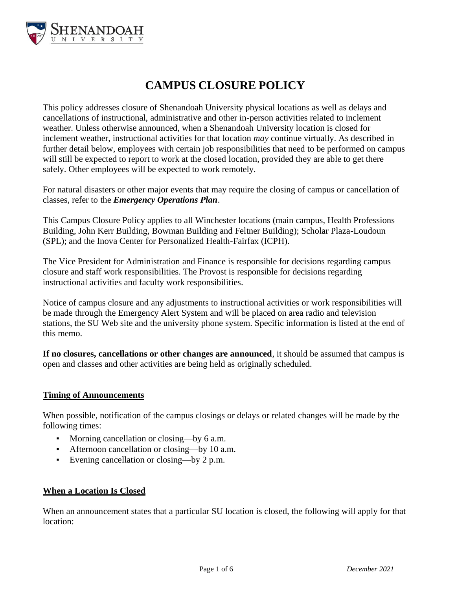

# **CAMPUS CLOSURE POLICY**

This policy addresses closure of Shenandoah University physical locations as well as delays and cancellations of instructional, administrative and other in-person activities related to inclement weather. Unless otherwise announced, when a Shenandoah University location is closed for inclement weather, instructional activities for that location *may* continue virtually. As described in further detail below, employees with certain job responsibilities that need to be performed on campus will still be expected to report to work at the closed location, provided they are able to get there safely. Other employees will be expected to work remotely.

For natural disasters or other major events that may require the closing of campus or cancellation of classes, refer to the *Emergency Operations Plan*.

This Campus Closure Policy applies to all Winchester locations (main campus, Health Professions Building, John Kerr Building, Bowman Building and Feltner Building); Scholar Plaza-Loudoun (SPL); and the Inova Center for Personalized Health-Fairfax (ICPH).

The Vice President for Administration and Finance is responsible for decisions regarding campus closure and staff work responsibilities. The Provost is responsible for decisions regarding instructional activities and faculty work responsibilities.

Notice of campus closure and any adjustments to instructional activities or work responsibilities will be made through the Emergency Alert System and will be placed on area radio and television stations, the SU Web site and the university phone system. Specific information is listed at the end of this memo.

**If no closures, cancellations or other changes are announced**, it should be assumed that campus is open and classes and other activities are being held as originally scheduled.

# **Timing of Announcements**

When possible, notification of the campus closings or delays or related changes will be made by the following times:

- Morning cancellation or closing—by 6 a.m.
- Afternoon cancellation or closing—by 10 a.m.
- Evening cancellation or closing—by 2 p.m.

# **When a Location Is Closed**

When an announcement states that a particular SU location is closed, the following will apply for that location: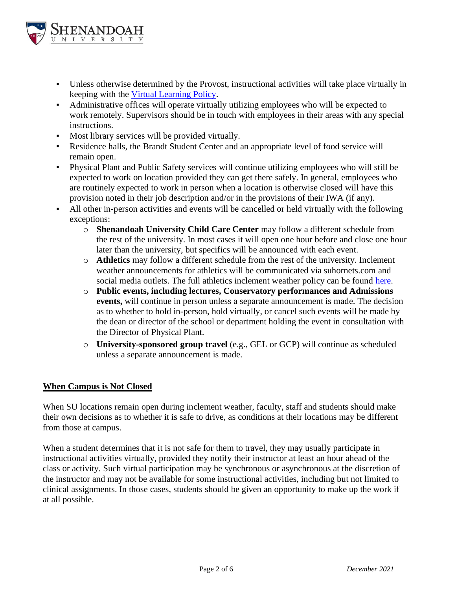

- Unless otherwise determined by the Provost, instructional activities will take place virtually in keeping with the [Virtual Learning Policy.](#page-3-0)
- Administrative offices will operate virtually utilizing employees who will be expected to work remotely. Supervisors should be in touch with employees in their areas with any special instructions.
- Most library services will be provided virtually.
- Residence halls, the Brandt Student Center and an appropriate level of food service will remain open.
- Physical Plant and Public Safety services will continue utilizing employees who will still be expected to work on location provided they can get there safely. In general, employees who are routinely expected to work in person when a location is otherwise closed will have this provision noted in their job description and/or in the provisions of their IWA (if any).
- All other in-person activities and events will be cancelled or held virtually with the following exceptions:
	- o **Shenandoah University Child Care Center** may follow a different schedule from the rest of the university. In most cases it will open one hour before and close one hour later than the university, but specifics will be announced with each event.
	- o **Athletics** may follow a different schedule from the rest of the university. Inclement weather announcements for athletics will be communicated via suhornets.com and social media outlets. The full athletics inclement weather policy can be found [here.](#page-5-0)
	- o **Public events, including lectures, Conservatory performances and Admissions events,** will continue in person unless a separate announcement is made. The decision as to whether to hold in-person, hold virtually, or cancel such events will be made by the dean or director of the school or department holding the event in consultation with the Director of Physical Plant.
	- o **University-sponsored group travel** (e.g., GEL or GCP) will continue as scheduled unless a separate announcement is made.

# **When Campus is Not Closed**

When SU locations remain open during inclement weather, faculty, staff and students should make their own decisions as to whether it is safe to drive, as conditions at their locations may be different from those at campus.

When a student determines that it is not safe for them to travel, they may usually participate in instructional activities virtually, provided they notify their instructor at least an hour ahead of the class or activity. Such virtual participation may be synchronous or asynchronous at the discretion of the instructor and may not be available for some instructional activities, including but not limited to clinical assignments. In those cases, students should be given an opportunity to make up the work if at all possible.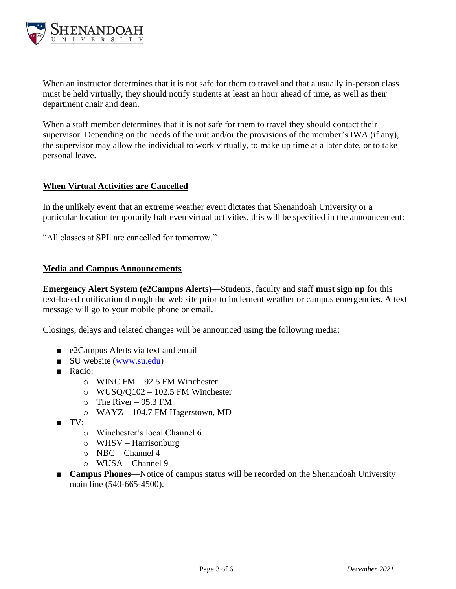

When an instructor determines that it is not safe for them to travel and that a usually in-person class must be held virtually, they should notify students at least an hour ahead of time, as well as their department chair and dean.

When a staff member determines that it is not safe for them to travel they should contact their supervisor. Depending on the needs of the unit and/or the provisions of the member's IWA (if any), the supervisor may allow the individual to work virtually, to make up time at a later date, or to take personal leave.

# **When Virtual Activities are Cancelled**

In the unlikely event that an extreme weather event dictates that Shenandoah University or a particular location temporarily halt even virtual activities, this will be specified in the announcement:

"All classes at SPL are cancelled for tomorrow."

#### **Media and Campus Announcements**

**Emergency Alert System (e2Campus Alerts)**—Students, faculty and staff **must sign up** for this text-based notification through the web site prior to inclement weather or campus emergencies. A text message will go to your mobile phone or email.

Closings, delays and related changes will be announced using the following media:

- e2Campus Alerts via text and email
- SU website [\(www.su.edu\)](https://www.su.edu/)
- Radio:
	- o WINC FM 92.5 FM Winchester
	- $\circ$  WUSQ/Q102 102.5 FM Winchester
	- $\circ$  The River 95.3 FM
	- o WAYZ 104.7 FM Hagerstown, MD
- TV:
	- o Winchester's local Channel 6
	- $\circ$  WHSV Harrisonburg
	- o NBC Channel 4
	- o WUSA Channel 9
- **Campus Phones**—Notice of campus status will be recorded on the Shenandoah University main line (540-665-4500).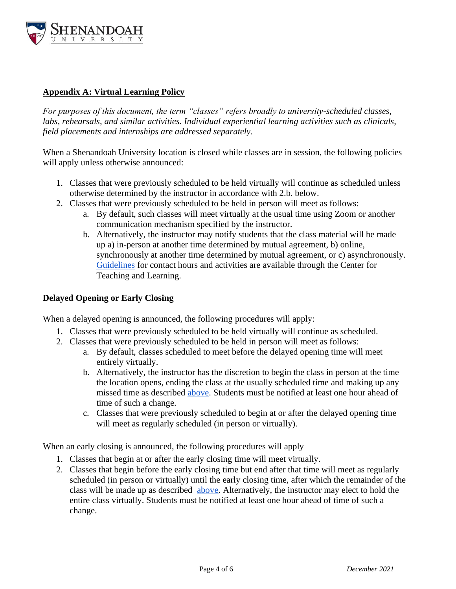

# <span id="page-3-0"></span>**Appendix A: Virtual Learning Policy**

*For purposes of this document, the term "classes" refers broadly to university-scheduled classes, labs, rehearsals, and similar activities. Individual experiential learning activities such as clinicals, field placements and internships are addressed separately.*

When a Shenandoah University location is closed while classes are in session, the following policies will apply unless otherwise announced:

- 1. Classes that were previously scheduled to be held virtually will continue as scheduled unless otherwise determined by the instructor in accordance with 2.b. below.
- 2. Classes that were previously scheduled to be held in person will meet as follows:
	- a. By default, such classes will meet virtually at the usual time using Zoom or another communication mechanism specified by the instructor.
	- b. Alternatively, the instructor may notify students that the class material will be made up a) in-person at another time determined by mutual agreement, b) online, synchronously at another time determined by mutual agreement, or c) asynchronously. [Guidelines](https://www.su.edu/academics/academic-resources-information/center-for-teaching-and-learning-2/resource-repository/distancehybrid-teaching/) for contact hours and activities are available through the Center for Teaching and Learning.

# **Delayed Opening or Early Closing**

When a delayed opening is announced, the following procedures will apply:

- 1. Classes that were previously scheduled to be held virtually will continue as scheduled.
- 2. Classes that were previously scheduled to be held in person will meet as follows:
	- a. By default, classes scheduled to meet before the delayed opening time will meet entirely virtually.
	- b. Alternatively, the instructor has the discretion to begin the class in person at the time the location opens, ending the class at the usually scheduled time and making up any missed time as described above. Students must be notified at least one hour ahead of time of such a change.
	- c. Classes that were previously scheduled to begin at or after the delayed opening time will meet as regularly scheduled (in person or virtually).

When an early closing is announced, the following procedures will apply

- 1. Classes that begin at or after the early closing time will meet virtually.
- 2. Classes that begin before the early closing time but end after that time will meet as regularly scheduled (in person or virtually) until the early closing time, after which the remainder of the class will be made up as described above. Alternatively, the instructor may elect to hold the entire class virtually. Students must be notified at least one hour ahead of time of such a change.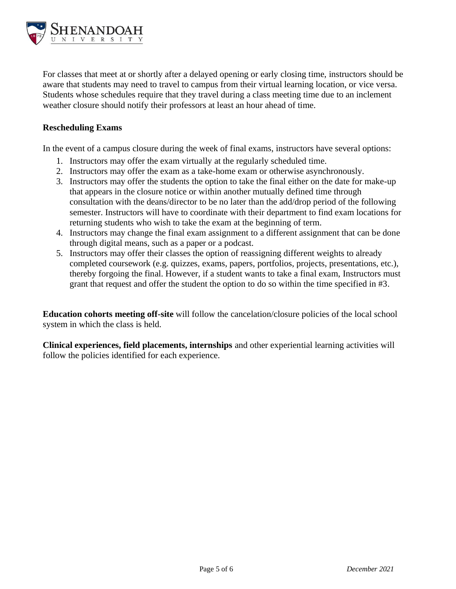

For classes that meet at or shortly after a delayed opening or early closing time, instructors should be aware that students may need to travel to campus from their virtual learning location, or vice versa. Students whose schedules require that they travel during a class meeting time due to an inclement weather closure should notify their professors at least an hour ahead of time.

#### **Rescheduling Exams**

In the event of a campus closure during the week of final exams, instructors have several options:

- 1. Instructors may offer the exam virtually at the regularly scheduled time.
- 2. Instructors may offer the exam as a take-home exam or otherwise asynchronously.
- 3. Instructors may offer the students the option to take the final either on the date for make-up that appears in the closure notice or within another mutually defined time through consultation with the deans/director to be no later than the add/drop period of the following semester. Instructors will have to coordinate with their department to find exam locations for returning students who wish to take the exam at the beginning of term.
- 4. Instructors may change the final exam assignment to a different assignment that can be done through digital means, such as a paper or a podcast.
- 5. Instructors may offer their classes the option of reassigning different weights to already completed coursework (e.g. quizzes, exams, papers, portfolios, projects, presentations, etc.), thereby forgoing the final. However, if a student wants to take a final exam, Instructors must grant that request and offer the student the option to do so within the time specified in #3.

**Education cohorts meeting off-site** will follow the cancelation/closure policies of the local school system in which the class is held.

**Clinical experiences, field placements, internships** and other experiential learning activities will follow the policies identified for each experience.